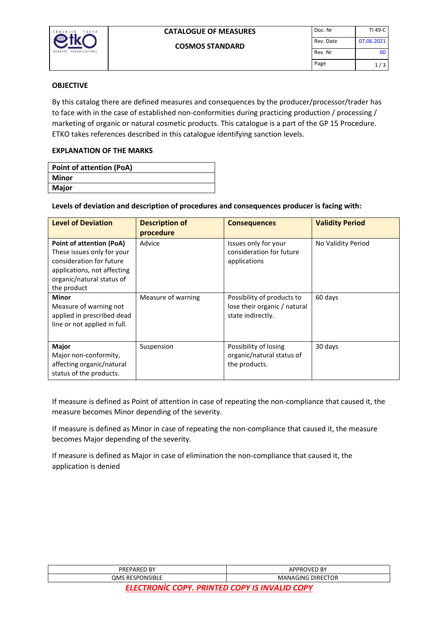

#### **OBJECTIVE**

By this catalog there are defined measures and consequences by the producer/processor/trader has to face with in the case of established non-conformities during practicing production / processing / marketing of organic or natural cosmetic products. This catalogue is a part of the GP 15 Procedure. ETKO takes references described in this catalogue identifying sanction levels.

## **EXPLANATION OF THE MARKS**

| <b>Point of attention (PoA)</b> |
|---------------------------------|
| Minor                           |
| Major                           |

## **Levels of deviation and description of procedures and consequences producer is facing with:**

| <b>Level of Deviation</b>                                                                                                                                            | <b>Description of</b><br>procedure | <b>Consequences</b>                                                             | <b>Validity Period</b> |
|----------------------------------------------------------------------------------------------------------------------------------------------------------------------|------------------------------------|---------------------------------------------------------------------------------|------------------------|
| <b>Point of attention (PoA)</b><br>These issues only for your<br>consideration for future<br>applications, not affecting<br>organic/natural status of<br>the product | Advice                             | Issues only for your<br>consideration for future<br>applications                | No Validity Period     |
| <b>Minor</b><br>Measure of warning not<br>applied in prescribed dead<br>line or not applied in full.                                                                 | Measure of warning                 | Possibility of products to<br>lose their organic / natural<br>state indirectly. | 60 days                |
| Major<br>Major non-conformity,<br>affecting organic/natural<br>status of the products.                                                                               | Suspension                         | Possibility of losing<br>organic/natural status of<br>the products.             | 30 days                |

If measure is defined as Point of attention in case of repeating the non-compliance that caused it, the measure becomes Minor depending of the severity.

If measure is defined as Minor in case of repeating the non-compliance that caused it, the measure becomes Major depending of the severity.

If measure is defined as Major in case of elimination the non-compliance that caused it, the application is denied

| PREPARED BY                                | የOVED BY<br><b>DPRI</b><br>А٢ |
|--------------------------------------------|-------------------------------|
| <b>DNSIBLE</b><br><b>RESPO</b><br>OMS<br>ັ | <b>MANAGING DIRECTOR</b>      |
|                                            |                               |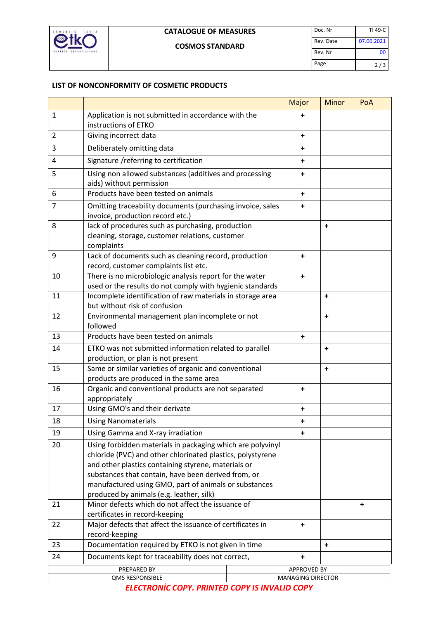

## **LIST OF NONCONFORMITY OF COSMETIC PRODUCTS**

|                |                                                                                                                                                                                                                                                                                                                                             | Major                    | <b>Minor</b> | PoA       |
|----------------|---------------------------------------------------------------------------------------------------------------------------------------------------------------------------------------------------------------------------------------------------------------------------------------------------------------------------------------------|--------------------------|--------------|-----------|
| $\mathbf{1}$   | Application is not submitted in accordance with the                                                                                                                                                                                                                                                                                         | +                        |              |           |
|                | instructions of ETKO                                                                                                                                                                                                                                                                                                                        |                          |              |           |
| $\overline{2}$ | Giving incorrect data                                                                                                                                                                                                                                                                                                                       | ٠                        |              |           |
| 3              | Deliberately omitting data                                                                                                                                                                                                                                                                                                                  | +                        |              |           |
| 4              | Signature / referring to certification                                                                                                                                                                                                                                                                                                      | +                        |              |           |
| 5              | Using non allowed substances (additives and processing<br>aids) without permission                                                                                                                                                                                                                                                          | $\ddot{}$                |              |           |
| 6              | Products have been tested on animals                                                                                                                                                                                                                                                                                                        | $\ddot{}$                |              |           |
| $\overline{7}$ | Omitting traceability documents (purchasing invoice, sales<br>invoice, production record etc.)                                                                                                                                                                                                                                              | $\ddot{}$                |              |           |
| 8              | lack of procedures such as purchasing, production<br>cleaning, storage, customer relations, customer<br>complaints                                                                                                                                                                                                                          |                          | $\ddot{}$    |           |
| 9              | Lack of documents such as cleaning record, production<br>record, customer complaints list etc.                                                                                                                                                                                                                                              | $\ddot{}$                |              |           |
| 10             | There is no microbiologic analysis report for the water<br>used or the results do not comply with hygienic standards                                                                                                                                                                                                                        | $\ddot{}$                |              |           |
| 11             | Incomplete identification of raw materials in storage area<br>but without risk of confusion                                                                                                                                                                                                                                                 |                          | $\ddot{}$    |           |
| 12             | Environmental management plan incomplete or not<br>followed                                                                                                                                                                                                                                                                                 |                          | $\ddot{}$    |           |
| 13             | Products have been tested on animals                                                                                                                                                                                                                                                                                                        | $\ddot{}$                |              |           |
| 14             | ETKO was not submitted information related to parallel<br>production, or plan is not present                                                                                                                                                                                                                                                |                          | $\ddot{}$    |           |
| 15             | Same or similar varieties of organic and conventional<br>products are produced in the same area                                                                                                                                                                                                                                             |                          | $\ddot{}$    |           |
| 16             | Organic and conventional products are not separated<br>appropriately                                                                                                                                                                                                                                                                        | $\ddot{}$                |              |           |
| 17             | Using GMO's and their derivate                                                                                                                                                                                                                                                                                                              | ٠                        |              |           |
| 18             | <b>Using Nanomaterials</b>                                                                                                                                                                                                                                                                                                                  | +                        |              |           |
| 19             | Using Gamma and X-ray irradiation                                                                                                                                                                                                                                                                                                           | $\ddot{}$                |              |           |
| 20             | Using forbidden materials in packaging which are polyvinyl<br>chloride (PVC) and other chlorinated plastics, polystyrene<br>and other plastics containing styrene, materials or<br>substances that contain, have been derived from, or<br>manufactured using GMO, part of animals or substances<br>produced by animals (e.g. leather, silk) |                          |              |           |
| 21             | Minor defects which do not affect the issuance of<br>certificates in record-keeping                                                                                                                                                                                                                                                         |                          |              | $\ddot{}$ |
| 22             | Major defects that affect the issuance of certificates in<br>record-keeping                                                                                                                                                                                                                                                                 | $\ddot{}$                |              |           |
| 23             | Documentation required by ETKO is not given in time                                                                                                                                                                                                                                                                                         |                          | $\ddot{}$    |           |
| 24             | Documents kept for traceability does not correct,                                                                                                                                                                                                                                                                                           | ٠                        |              |           |
|                | PREPARED BY                                                                                                                                                                                                                                                                                                                                 | <b>APPROVED BY</b>       |              |           |
|                | <b>QMS RESPONSIBLE</b>                                                                                                                                                                                                                                                                                                                      | <b>MANAGING DIRECTOR</b> |              |           |

*ELECTRONİC COPY. PRINTED COPY IS INVALID COPY*